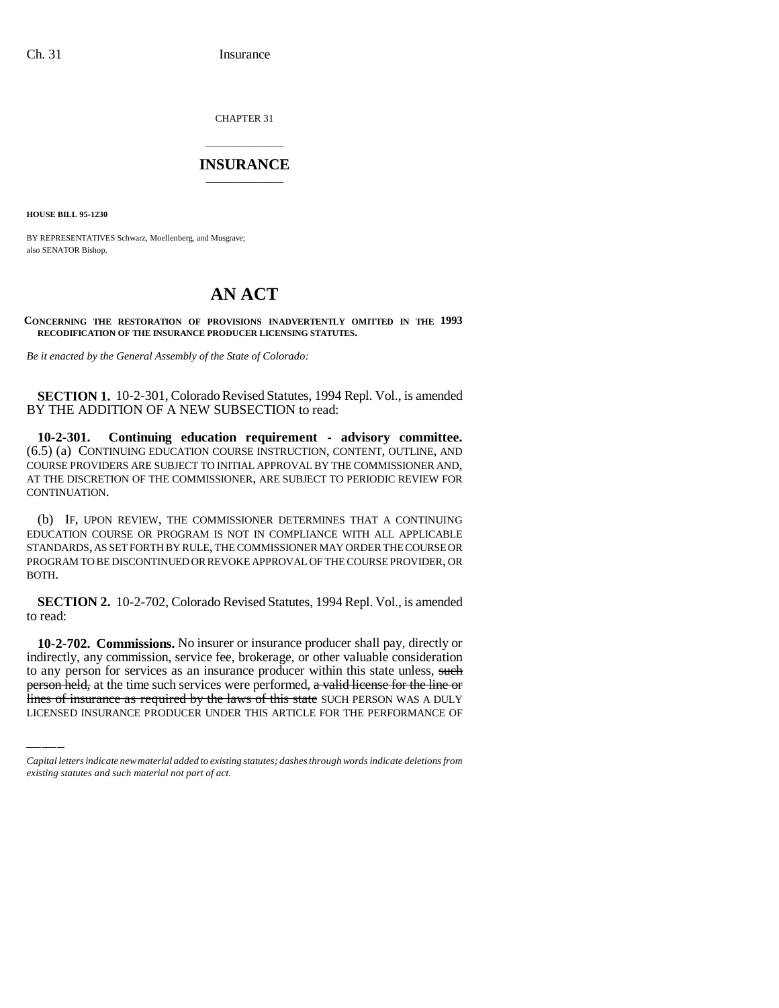CHAPTER 31

## \_\_\_\_\_\_\_\_\_\_\_\_\_\_\_ **INSURANCE** \_\_\_\_\_\_\_\_\_\_\_\_\_\_\_

**HOUSE BILL 95-1230**

BY REPRESENTATIVES Schwarz, Moellenberg, and Musgrave; also SENATOR Bishop.

## **AN ACT**

**CONCERNING THE RESTORATION OF PROVISIONS INADVERTENTLY OMITTED IN THE 1993 RECODIFICATION OF THE INSURANCE PRODUCER LICENSING STATUTES.**

*Be it enacted by the General Assembly of the State of Colorado:*

**SECTION 1.** 10-2-301, Colorado Revised Statutes, 1994 Repl. Vol., is amended BY THE ADDITION OF A NEW SUBSECTION to read:

**10-2-301. Continuing education requirement - advisory committee.** (6.5) (a) CONTINUING EDUCATION COURSE INSTRUCTION, CONTENT, OUTLINE, AND COURSE PROVIDERS ARE SUBJECT TO INITIAL APPROVAL BY THE COMMISSIONER AND, AT THE DISCRETION OF THE COMMISSIONER, ARE SUBJECT TO PERIODIC REVIEW FOR CONTINUATION.

(b) IF, UPON REVIEW, THE COMMISSIONER DETERMINES THAT A CONTINUING EDUCATION COURSE OR PROGRAM IS NOT IN COMPLIANCE WITH ALL APPLICABLE STANDARDS, AS SET FORTH BY RULE, THE COMMISSIONER MAY ORDER THE COURSE OR PROGRAM TO BE DISCONTINUED OR REVOKE APPROVAL OF THE COURSE PROVIDER, OR BOTH.

**SECTION 2.** 10-2-702, Colorado Revised Statutes, 1994 Repl. Vol., is amended to read:

**indirectly, any commissions**, two insurer or insurance producer shall pay, uncerly or indirectly, any commission, service fee, brokerage, or other valuable consideration **10-2-702. Commissions.** No insurer or insurance producer shall pay, directly or to any person for services as an insurance producer within this state unless, such person held, at the time such services were performed, a valid license for the line or lines of insurance as required by the laws of this state SUCH PERSON WAS A DULY LICENSED INSURANCE PRODUCER UNDER THIS ARTICLE FOR THE PERFORMANCE OF

*Capital letters indicate new material added to existing statutes; dashes through words indicate deletions from existing statutes and such material not part of act.*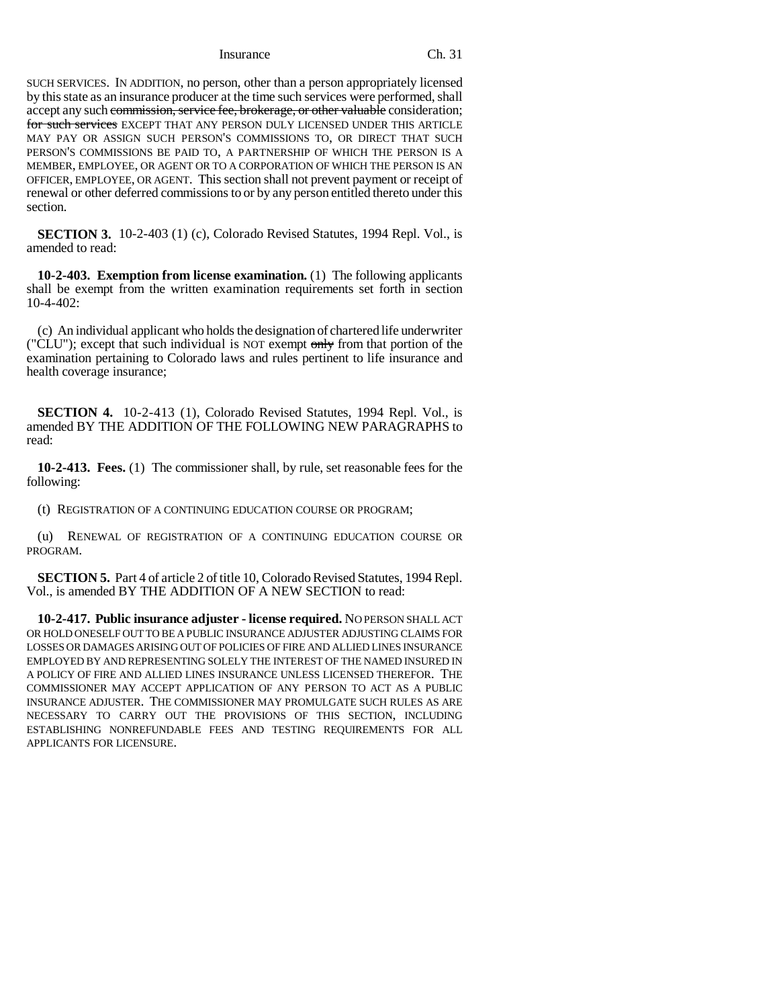Insurance Ch. 31

SUCH SERVICES. IN ADDITION, no person, other than a person appropriately licensed by this state as an insurance producer at the time such services were performed, shall accept any such commission, service fee, brokerage, or other valuable consideration; for such services EXCEPT THAT ANY PERSON DULY LICENSED UNDER THIS ARTICLE MAY PAY OR ASSIGN SUCH PERSON'S COMMISSIONS TO, OR DIRECT THAT SUCH PERSON'S COMMISSIONS BE PAID TO, A PARTNERSHIP OF WHICH THE PERSON IS A MEMBER, EMPLOYEE, OR AGENT OR TO A CORPORATION OF WHICH THE PERSON IS AN OFFICER, EMPLOYEE, OR AGENT. This section shall not prevent payment or receipt of renewal or other deferred commissions to or by any person entitled thereto under this section.

**SECTION 3.** 10-2-403 (1) (c), Colorado Revised Statutes, 1994 Repl. Vol., is amended to read:

**10-2-403. Exemption from license examination.** (1) The following applicants shall be exempt from the written examination requirements set forth in section 10-4-402:

(c) An individual applicant who holds the designation of chartered life underwriter ("CLU"); except that such individual is NOT exempt only from that portion of the examination pertaining to Colorado laws and rules pertinent to life insurance and health coverage insurance;

**SECTION 4.** 10-2-413 (1), Colorado Revised Statutes, 1994 Repl. Vol., is amended BY THE ADDITION OF THE FOLLOWING NEW PARAGRAPHS to read:

**10-2-413. Fees.** (1) The commissioner shall, by rule, set reasonable fees for the following:

(t) REGISTRATION OF A CONTINUING EDUCATION COURSE OR PROGRAM;

(u) RENEWAL OF REGISTRATION OF A CONTINUING EDUCATION COURSE OR PROGRAM.

**SECTION 5.** Part 4 of article 2 of title 10, Colorado Revised Statutes, 1994 Repl. Vol., is amended BY THE ADDITION OF A NEW SECTION to read:

**10-2-417. Public insurance adjuster - license required.** NO PERSON SHALL ACT OR HOLD ONESELF OUT TO BE A PUBLIC INSURANCE ADJUSTER ADJUSTING CLAIMS FOR LOSSES OR DAMAGES ARISING OUT OF POLICIES OF FIRE AND ALLIED LINES INSURANCE EMPLOYED BY AND REPRESENTING SOLELY THE INTEREST OF THE NAMED INSURED IN A POLICY OF FIRE AND ALLIED LINES INSURANCE UNLESS LICENSED THEREFOR. THE COMMISSIONER MAY ACCEPT APPLICATION OF ANY PERSON TO ACT AS A PUBLIC INSURANCE ADJUSTER. THE COMMISSIONER MAY PROMULGATE SUCH RULES AS ARE NECESSARY TO CARRY OUT THE PROVISIONS OF THIS SECTION, INCLUDING ESTABLISHING NONREFUNDABLE FEES AND TESTING REQUIREMENTS FOR ALL APPLICANTS FOR LICENSURE.